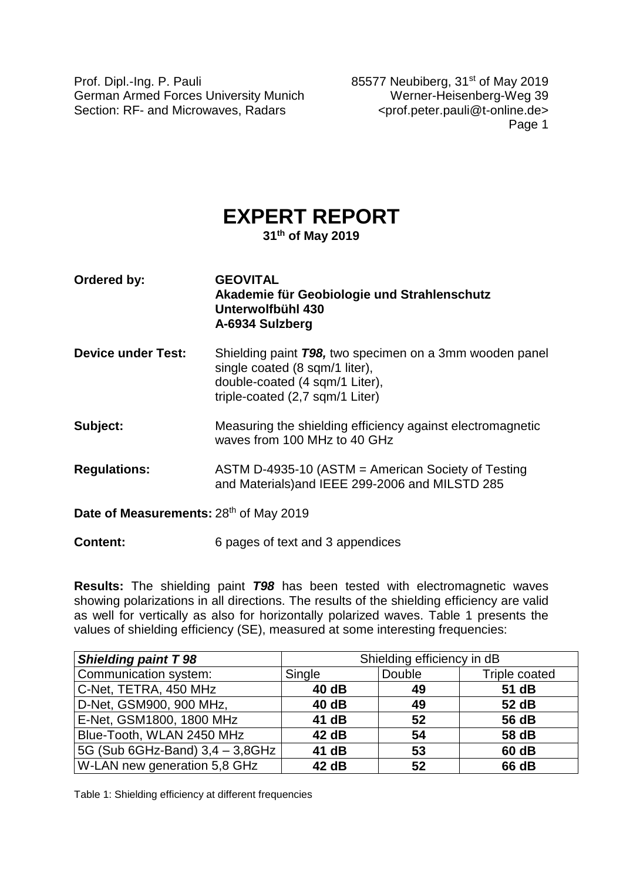Prof. Dipl.-Ing. P. Pauli 85577 Neubiberg, 31<sup>st</sup> of May 2019 German Armed Forces University Munich Werner-Heisenberg-Weg 39 Section: RF- and Microwaves, Radars <prof.peter.pauli@t-online.de>

Page 1

# **EXPERT REPORT**

**31th of May 2019**

| Ordered by:                            | <b>GEOVITAL</b><br>Akademie für Geobiologie und Strahlenschutz<br>Unterwolfbühl 430<br>A-6934 Sulzberg                                                                 |
|----------------------------------------|------------------------------------------------------------------------------------------------------------------------------------------------------------------------|
| <b>Device under Test:</b>              | Shielding paint <b>T98</b> , two specimen on a 3mm wooden panel<br>single coated (8 sqm/1 liter),<br>double-coated (4 sqm/1 Liter),<br>triple-coated (2,7 sqm/1 Liter) |
| Subject:                               | Measuring the shielding efficiency against electromagnetic<br>waves from 100 MHz to 40 GHz                                                                             |
| <b>Regulations:</b>                    | ASTM D-4935-10 (ASTM $=$ American Society of Testing<br>and Materials) and IEEE 299-2006 and MILSTD 285                                                                |
| Date of Measurements: 28th of May 2019 |                                                                                                                                                                        |

**Content:** 6 pages of text and 3 appendices

**Results:** The shielding paint *T98* has been tested with electromagnetic waves showing polarizations in all directions. The results of the shielding efficiency are valid as well for vertically as also for horizontally polarized waves. Table 1 presents the values of shielding efficiency (SE), measured at some interesting frequencies:

| <b>Shielding paint T 98</b>     | Shielding efficiency in dB |        |               |  |  |
|---------------------------------|----------------------------|--------|---------------|--|--|
| Communication system:           | Single                     | Double | Triple coated |  |  |
| C-Net, TETRA, 450 MHz           | 40 dB                      | 49     | 51 dB         |  |  |
| D-Net, GSM900, 900 MHz,         | 40 dB                      | 49     | 52 dB         |  |  |
| E-Net, GSM1800, 1800 MHz        | 41 dB                      | 52     | 56 dB         |  |  |
| Blue-Tooth, WLAN 2450 MHz       | 42 dB                      | -54    | 58 dB         |  |  |
| 5G (Sub 6GHz-Band) 3,4 - 3,8GHz | 41 dB                      | 53     | 60 dB         |  |  |
| W-LAN new generation 5,8 GHz    | 42 dB                      | 52     | 66 dB         |  |  |

Table 1: Shielding efficiency at different frequencies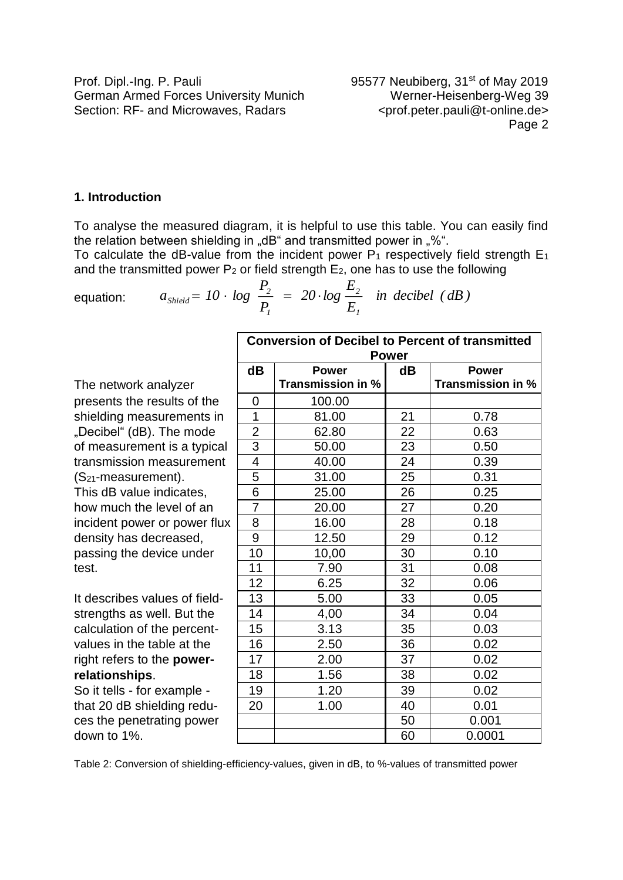## **1. Introduction**

To analyse the measured diagram, it is helpful to use this table. You can easily find the relation between shielding in "dB" and transmitted power in "%".

To calculate the dB-value from the incident power  $P_1$  respectively field strength  $E_1$ and the transmitted power  $P_2$  or field strength  $E_2$ , one has to use the following

equation: 
$$
a_{\text{Shield}} = 10 \cdot \log \frac{P_2}{P_1} = 20 \cdot \log \frac{E_2}{E_1}
$$
 in decibel (dB)

|                                   | <b>Conversion of Decibel to Percent of transmitted</b><br><b>Power</b> |                   |    |                   |  |  |  |  |
|-----------------------------------|------------------------------------------------------------------------|-------------------|----|-------------------|--|--|--|--|
|                                   | dB                                                                     | <b>Power</b>      | dB | <b>Power</b>      |  |  |  |  |
| The network analyzer              |                                                                        | Transmission in % |    | Transmission in % |  |  |  |  |
| presents the results of the       | $\Omega$                                                               | 100.00            |    |                   |  |  |  |  |
| shielding measurements in         | 1                                                                      | 81.00             | 21 | 0.78              |  |  |  |  |
| "Decibel" (dB). The mode          | $\overline{2}$                                                         | 62.80             | 22 | 0.63              |  |  |  |  |
| of measurement is a typical       | $\overline{3}$                                                         | 50.00             | 23 | 0.50              |  |  |  |  |
| transmission measurement          | 4                                                                      | 40.00             | 24 | 0.39              |  |  |  |  |
| (S <sub>21</sub> -measurement).   | 5                                                                      | 31.00             | 25 | 0.31              |  |  |  |  |
| This dB value indicates,          | 6                                                                      | 25.00             | 26 | 0.25              |  |  |  |  |
| how much the level of an          | $\overline{7}$                                                         | 20.00             | 27 | 0.20              |  |  |  |  |
| incident power or power flux      | 8                                                                      | 16.00             | 28 | 0.18              |  |  |  |  |
| density has decreased,            | 9                                                                      | 12.50             | 29 | 0.12              |  |  |  |  |
| passing the device under          | 10                                                                     | 10,00             | 30 | 0.10              |  |  |  |  |
| test.                             | 11                                                                     | 7.90              | 31 | 0.08              |  |  |  |  |
|                                   | 12                                                                     | 6.25              | 32 | 0.06              |  |  |  |  |
| It describes values of field-     | 13                                                                     | 5.00              | 33 | 0.05              |  |  |  |  |
| strengths as well. But the        | 14                                                                     | 4,00              | 34 | 0.04              |  |  |  |  |
| calculation of the percent-       | 15                                                                     | 3.13              | 35 | 0.03              |  |  |  |  |
| values in the table at the        | 16                                                                     | 2.50              | 36 | 0.02              |  |  |  |  |
| right refers to the <b>power-</b> | 17                                                                     | 2.00              | 37 | 0.02              |  |  |  |  |
| relationships.                    | 18                                                                     | 1.56              | 38 | 0.02              |  |  |  |  |
| So it tells - for example -       | 19                                                                     | 1.20              | 39 | 0.02              |  |  |  |  |
| that 20 dB shielding redu-        | 20                                                                     | 1.00              | 40 | 0.01              |  |  |  |  |
| ces the penetrating power         |                                                                        |                   | 50 | 0.001             |  |  |  |  |
| down to 1%.                       |                                                                        |                   | 60 | 0.0001            |  |  |  |  |

Table 2: Conversion of shielding-efficiency-values, given in dB, to %-values of transmitted power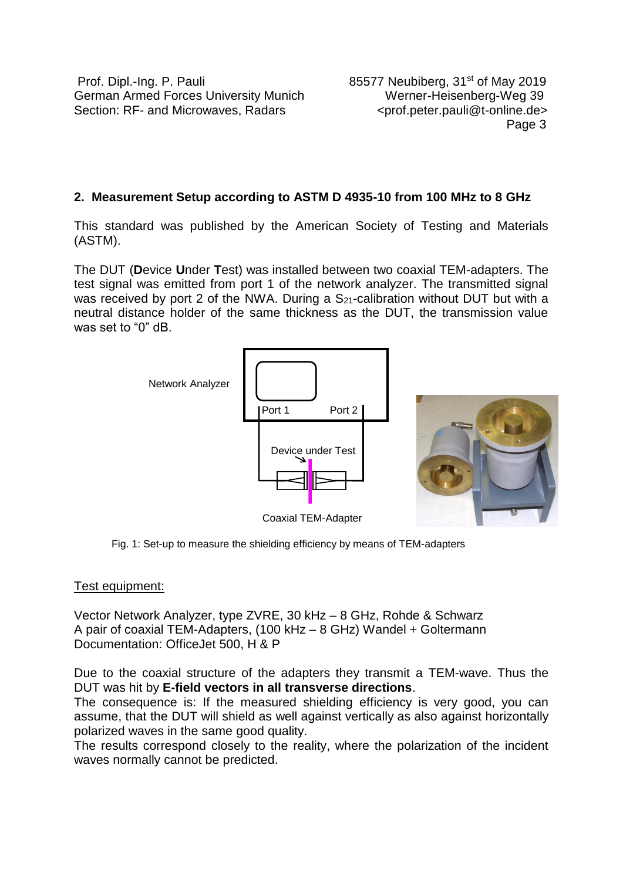Prof. Dipl.-Ing. P. Pauli 2019 German Armed Forces University Munich Werner-Heisenberg-Weg 39 Section: RF- and Microwaves, Radars <prof.peter.pauli@t-online.de>

en de la provincia de la provincia de la provincia de la provincia de la provincia de la provincia de la provi

# **2. Measurement Setup according to ASTM D 4935-10 from 100 MHz to 8 GHz**

This standard was published by the American Society of Testing and Materials (ASTM).

The DUT (**D**evice **U**nder **T**est) was installed between two coaxial TEM-adapters. The test signal was emitted from port 1 of the network analyzer. The transmitted signal was received by port 2 of the NWA. During a  $S_{21}$ -calibration without DUT but with a neutral distance holder of the same thickness as the DUT, the transmission value was set to "0" dB.



Fig. 1: Set-up to measure the shielding efficiency by means of TEM-adapters

## Test equipment:

Vector Network Analyzer, type ZVRE, 30 kHz – 8 GHz, Rohde & Schwarz A pair of coaxial TEM-Adapters, (100 kHz – 8 GHz) Wandel + Goltermann Documentation: OfficeJet 500, H & P

Due to the coaxial structure of the adapters they transmit a TEM-wave. Thus the DUT was hit by **E-field vectors in all transverse directions**.

The consequence is: If the measured shielding efficiency is very good, you can assume, that the DUT will shield as well against vertically as also against horizontally polarized waves in the same good quality.

The results correspond closely to the reality, where the polarization of the incident waves normally cannot be predicted.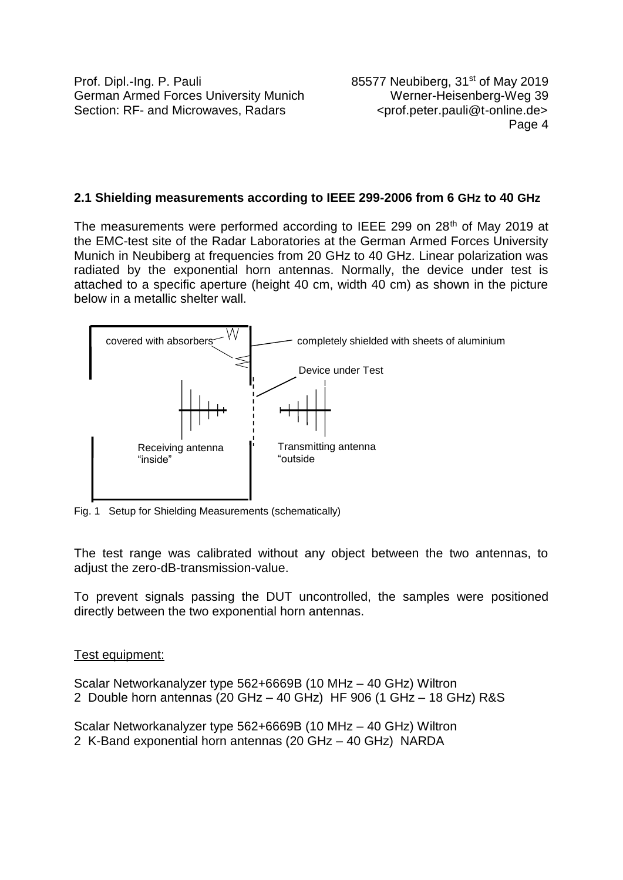# **2.1 Shielding measurements according to IEEE 299-2006 from 6 GHz to 40 GHz**

The measurements were performed according to IEEE 299 on 28<sup>th</sup> of May 2019 at the EMC-test site of the Radar Laboratories at the German Armed Forces University Munich in Neubiberg at frequencies from 20 GHz to 40 GHz. Linear polarization was radiated by the exponential horn antennas. Normally, the device under test is attached to a specific aperture (height 40 cm, width 40 cm) as shown in the picture below in a metallic shelter wall.



Fig. 1 Setup for Shielding Measurements (schematically)

The test range was calibrated without any object between the two antennas, to adiust the zero-dB-transmission-value.

To prevent signals passing the DUT uncontrolled, the samples were positioned directly between the two exponential horn antennas.

## Test equipment:

Scalar Networkanalyzer type 562+6669B (10 MHz – 40 GHz) Wiltron 2 Double horn antennas (20 GHz – 40 GHz) HF 906 (1 GHz – 18 GHz) R&S

Scalar Networkanalyzer type 562+6669B (10 MHz – 40 GHz) Wiltron 2 K-Band exponential horn antennas (20 GHz – 40 GHz) NARDA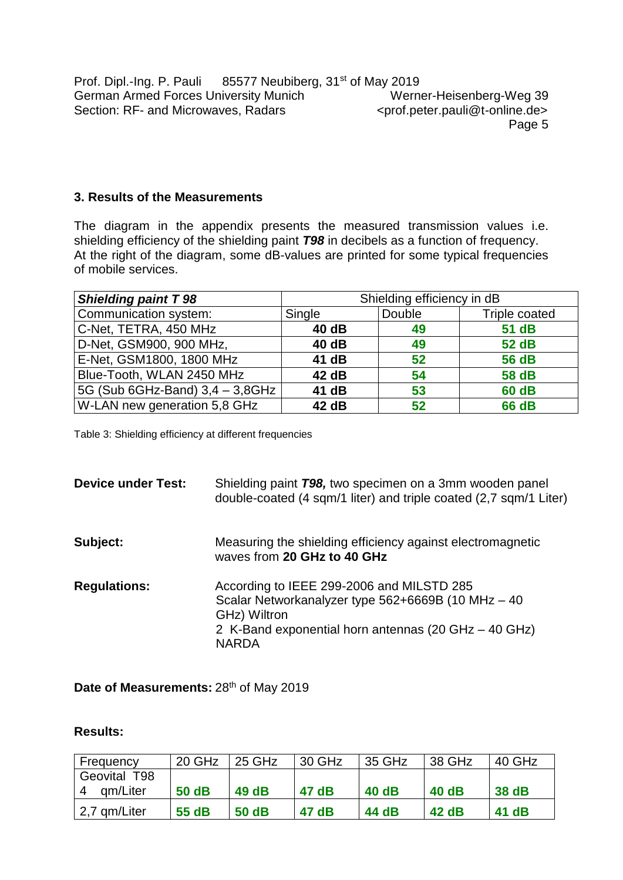## **3. Results of the Measurements**

The diagram in the appendix presents the measured transmission values i.e. shielding efficiency of the shielding paint *T98* in decibels as a function of frequency. At the right of the diagram, some dB-values are printed for some typical frequencies of mobile services.

| <b>Shielding paint T 98</b>     | Shielding efficiency in dB |        |               |  |  |
|---------------------------------|----------------------------|--------|---------------|--|--|
| Communication system:           | Single                     | Double | Triple coated |  |  |
| C-Net, TETRA, 450 MHz           | 40 dB                      | 49     | 51 dB         |  |  |
| D-Net, GSM900, 900 MHz,         | 40 dB                      | 49     | 52 dB         |  |  |
| E-Net, GSM1800, 1800 MHz        | 41 dB                      | 52     | <b>56 dB</b>  |  |  |
| Blue-Tooth, WLAN 2450 MHz       | 42 dB                      | 54     | 58 dB         |  |  |
| 5G (Sub 6GHz-Band) 3,4 - 3,8GHz | 41 dB                      | 53     | <b>60 dB</b>  |  |  |
| W-LAN new generation 5,8 GHz    | 42 dB                      | 52     | <b>66 dB</b>  |  |  |

Table 3: Shielding efficiency at different frequencies

| <b>Device under Test:</b> | Shielding paint T98, two specimen on a 3mm wooden panel<br>double-coated (4 sqm/1 liter) and triple coated (2,7 sqm/1 Liter)                                                            |
|---------------------------|-----------------------------------------------------------------------------------------------------------------------------------------------------------------------------------------|
| Subject:                  | Measuring the shielding efficiency against electromagnetic<br>waves from 20 GHz to 40 GHz                                                                                               |
| <b>Regulations:</b>       | According to IEEE 299-2006 and MILSTD 285<br>Scalar Networkanalyzer type 562+6669B (10 MHz - 40<br>GHz) Wiltron<br>2 K-Band exponential horn antennas (20 GHz – 40 GHz)<br><b>NARDA</b> |

Date of Measurements: 28<sup>th</sup> of May 2019

#### **Results:**

| Frequency     | 20 GHz | 25 GHz | 30 GHz | 35 GHz | 38 GHz | 40 GHz |
|---------------|--------|--------|--------|--------|--------|--------|
| Geovital T98  |        |        |        |        |        |        |
| gm/Liter<br>4 | 50 dB  | 49 dB  | 47 dB  | 40 dB  | 40 dB  | 38 dB  |
| 2,7 qm/Liter  | 55 dB  | 50 dB  | 47 dB  | 44 dB  | 42 dB  | 41 dB  |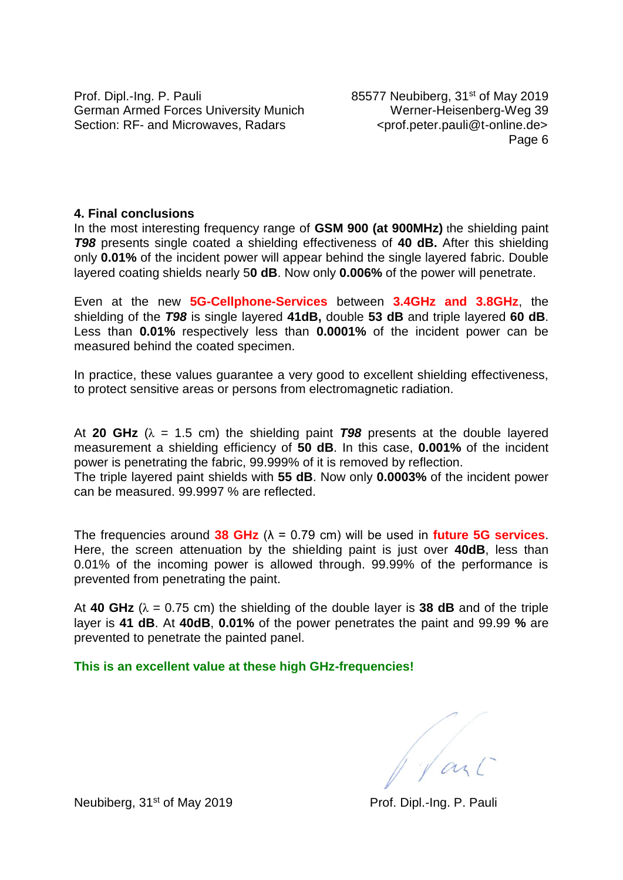Prof. Dipl.-Ing. P. Pauli 85577 Neubiberg, 31<sup>st</sup> of May 2019 German Armed Forces University Munich Werner-Heisenberg-Weg 39 Section: RF- and Microwaves, Radars <prof.peter.pauli@t-online.de>

Page 6

#### **4. Final conclusions**

In the most interesting frequency range of **GSM 900 (at 900MHz)** the shielding paint *T98* presents single coated a shielding effectiveness of **40 dB.** After this shielding only **0.01%** of the incident power will appear behind the single layered fabric. Double layered coating shields nearly 5**0 dB**. Now only **0.006%** of the power will penetrate.

Even at the new **5G-Cellphone-Services** between **3.4GHz and 3.8GHz**, the shielding of the *T98* is single layered **41dB,** double **53 dB** and triple layered **60 dB**. Less than **0.01%** respectively less than **0.0001%** of the incident power can be measured behind the coated specimen.

In practice, these values guarantee a very good to excellent shielding effectiveness, to protect sensitive areas or persons from electromagnetic radiation.

At **20 GHz** ( $\lambda$  = 1.5 cm) the shielding paint **798** presents at the double layered measurement a shielding efficiency of **50 dB**. In this case, **0.001%** of the incident power is penetrating the fabric, 99.999% of it is removed by reflection. The triple layered paint shields with **55 dB**. Now only **0.0003%** of the incident power

can be measured. 99.9997 % are reflected.

The frequencies around **38 GHz** (λ = 0.79 cm) will be used in **future 5G services**. Here, the screen attenuation by the shielding paint is just over **40dB**, less than 0.01% of the incoming power is allowed through. 99.99% of the performance is prevented from penetrating the paint.

At **40 GHz** ( $\lambda = 0.75$  cm) the shielding of the double layer is **38 dB** and of the triple layer is **41 dB**. At **40dB**, **0.01%** of the power penetrates the paint and 99.99 **%** are prevented to penetrate the painted panel.

**This is an excellent value at these high GHz-frequencies!**

Jant

Neubiberg, 31<sup>st</sup> of May 2019 Prof. Dipl.-Ing. P. Pauli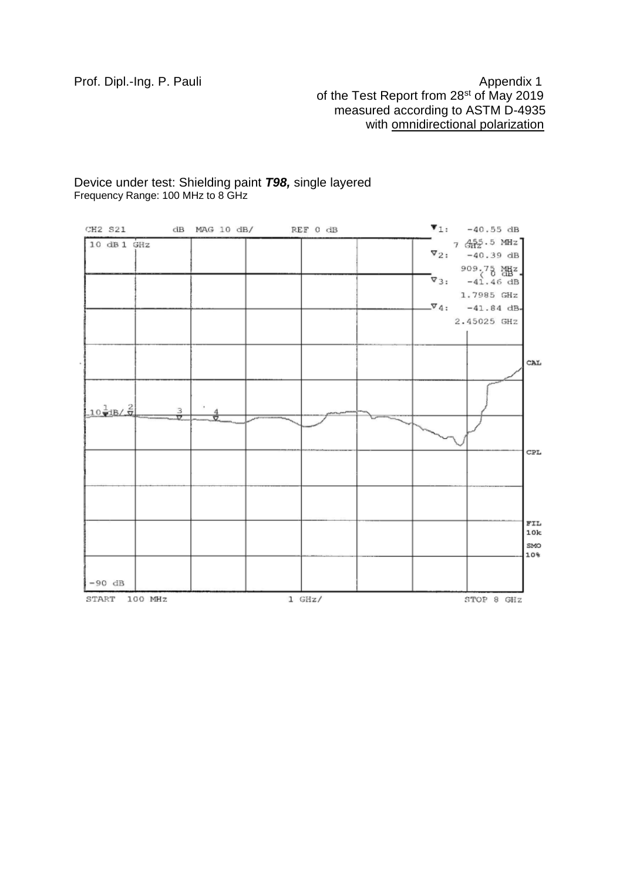## Prof. Dipl.-Ing. P. Pauli Appendix 1 of the Test Report from 28<sup>st</sup> of May 2019 measured according to ASTM D-4935 with **omnidirectional polarization**

#### Device under test: Shielding paint *T98,* single layered Frequency Range: 100 MHz to 8 GHz

| CH2 S21 dB MAG 10 dB/ REF 0 dB   |                |          |  | $\P_1: -40.55$ dB                      |            |
|----------------------------------|----------------|----------|--|----------------------------------------|------------|
| 10 dB 1 GHz                      |                |          |  | 7 4 2 5 MHz<br>$\sqrt{2}$ : -40.39 dB  |            |
|                                  |                |          |  | 909,75 쨺z.                             |            |
|                                  |                |          |  | $\nabla_3$ : $-41.46$ dB<br>1.7985 GHz |            |
|                                  |                |          |  | $-\sqrt[3]{4}$ : -41.84 dB-            |            |
|                                  |                |          |  | 2.45025 GHZ                            |            |
|                                  |                |          |  |                                        |            |
|                                  |                |          |  |                                        | CAL        |
| $10\frac{1}{2}$ $18/\frac{2}{9}$ | $\frac{3}{17}$ |          |  |                                        |            |
|                                  |                |          |  |                                        |            |
|                                  |                |          |  |                                        | CPL        |
|                                  |                |          |  |                                        |            |
|                                  |                |          |  |                                        | FIL<br>10k |
|                                  |                |          |  |                                        | SMO<br>10% |
| $-90$ dB                         |                |          |  |                                        |            |
| START 100 MHz                    |                | $1$ GHz/ |  | STOP 8 GHZ                             |            |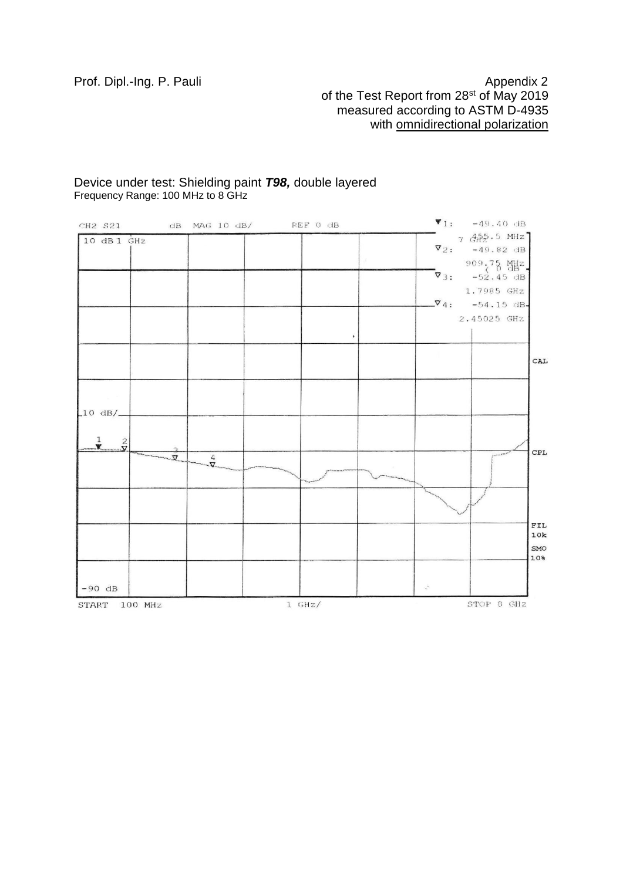# Prof. Dipl.-Ing. P. Pauli **Appendix 2** Appendix 2 of the Test Report from 28<sup>st</sup> of May 2019 measured according to ASTM D-4935 with **omnidirectional polarization**

#### Device under test: Shielding paint *T98,* double layered Frequency Range: 100 MHz to 8 GHz

| CH2 S21                    |          | $dB$ $MAG$ $10$ $dB/$ | REF 0 dB |              |                 | $\P_1$ : -49.40 dB                                    |                |
|----------------------------|----------|-----------------------|----------|--------------|-----------------|-------------------------------------------------------|----------------|
| 10 dB1 GHz                 |          |                       |          |              |                 | $7\frac{455}{3122}$ . 5 MHz<br>$\nabla_2$ : -49.82 dB |                |
|                            |          |                       |          | W.           |                 | $909.75$ 잼 -                                          |                |
|                            |          |                       |          |              |                 | $\nabla_3$ : $-52.45$ dB                              |                |
|                            |          |                       |          |              |                 | 1.7985 GHZ                                            |                |
|                            |          |                       |          |              |                 | $\nabla_4$ : -54.15 dB-                               |                |
|                            |          |                       |          |              |                 | 2.45025 GHz                                           |                |
|                            |          |                       |          | $\mathbf{r}$ |                 |                                                       |                |
|                            |          |                       |          |              |                 |                                                       | CAL            |
|                            |          |                       |          |              |                 |                                                       |                |
|                            |          |                       |          |              |                 |                                                       |                |
| $\text{\L}10 \text{ dB/L}$ |          |                       |          |              |                 |                                                       |                |
|                            |          |                       |          |              |                 |                                                       |                |
| $\frac{1}{\sqrt{2}}$       |          |                       |          |              |                 |                                                       | $\mathtt{CPL}$ |
|                            | $\sigma$ | $\frac{4}{\sqrt{2}}$  |          |              |                 |                                                       |                |
|                            |          |                       |          |              |                 |                                                       |                |
|                            |          |                       |          |              |                 |                                                       |                |
|                            |          |                       |          |              |                 |                                                       | ${\tt FIL}$    |
|                            |          |                       |          |              |                 |                                                       | 10k<br>SMO     |
|                            |          |                       |          |              |                 |                                                       | 10%            |
|                            |          |                       |          |              |                 |                                                       |                |
| $-90$ dB                   |          |                       |          |              | $\chi^{\rm th}$ |                                                       |                |